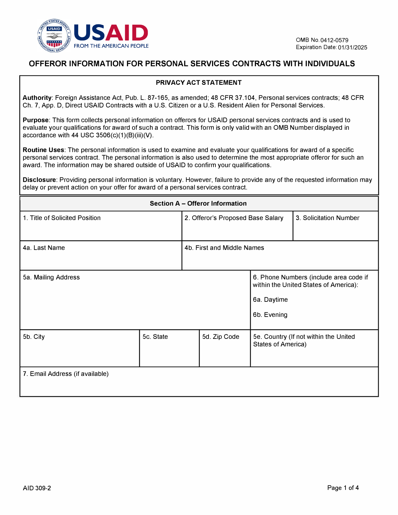

## **OFFEROR INFORMATION FOR PERSONAL SERVICES CONTRACTS WITH INDIVIDUALS**

## **PRIVACY ACT STATEMENT**

**Authority:** Foreign Assistance Act, Pub. L. 87-165, as amended; 48 CFR 37.104, Personal services contracts; 48 CFR Ch. 7, App. D, Direct USAID Contracts with a U.S. Citizen or a U.S. Resident Alien for Personal Services.

**Purpose:** This form collects personal information on offerors for USAID personal services contracts and is used to evaluate your qualifications for award of such a contract. This form is only valid with an 0MB Number displayed in accordance with 44 USC  $3506(c)(1)(B)(iii)(V)$ .

**Routine Uses:** The personal information is used to examine and evaluate your qualifications for award of a specific personal services contract. The personal information is also used to determine the most appropriate offeror for such an award. The information may be shared outside of USAID to confirm your qualifications.

**Disclosure:** Providing personal information is voluntary. However, failure to provide any of the requested information may delay or prevent action on your offer for award of a personal services contract.

| <b>Section A - Offeror Information</b> |           |                                   |                                                                                                               |                                                             |  |
|----------------------------------------|-----------|-----------------------------------|---------------------------------------------------------------------------------------------------------------|-------------------------------------------------------------|--|
| 1. Title of Solicited Position         |           | 2. Offeror's Proposed Base Salary |                                                                                                               | 3. Solicitation Number                                      |  |
| 4a. Last Name                          |           |                                   | 4b. First and Middle Names                                                                                    |                                                             |  |
| 5a. Mailing Address                    |           |                                   | 6. Phone Numbers (include area code if<br>within the United States of America):<br>6a. Daytime<br>6b. Evening |                                                             |  |
| 5b. City                               | 5c. State |                                   | 5d. Zip Code                                                                                                  | 5e. Country (If not within the United<br>States of America) |  |
| 7. Email Address (if available)        |           |                                   |                                                                                                               |                                                             |  |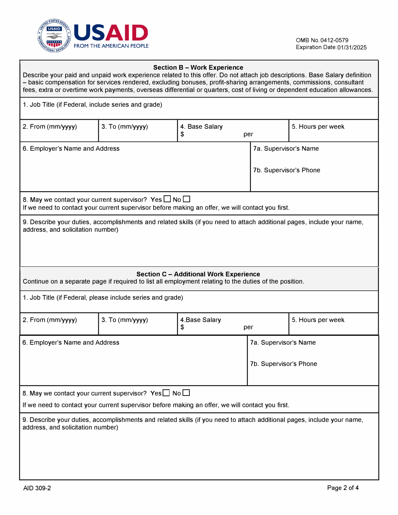

| <b>Section B - Work Experience</b><br>Describe your paid and unpaid work experience related to this offer. Do not attach job descriptions. Base Salary definition<br>- basic compensation for services rendered, excluding bonuses, profit-sharing arrangements, commissions, consultant<br>fees, extra or overtime work payments, overseas differential or quarters, cost of living or dependent education allowances. |                                                                                                                                                                     |                             |                        |                       |  |  |
|-------------------------------------------------------------------------------------------------------------------------------------------------------------------------------------------------------------------------------------------------------------------------------------------------------------------------------------------------------------------------------------------------------------------------|---------------------------------------------------------------------------------------------------------------------------------------------------------------------|-----------------------------|------------------------|-----------------------|--|--|
|                                                                                                                                                                                                                                                                                                                                                                                                                         | 1. Job Title (if Federal, include series and grade)                                                                                                                 |                             |                        |                       |  |  |
| 2. From (mm/yyyy)                                                                                                                                                                                                                                                                                                                                                                                                       | 3. To (mm/yyyy)                                                                                                                                                     | 4. Base Salary<br>\$<br>per | 5. Hours per week      |                       |  |  |
| 6. Employer's Name and Address                                                                                                                                                                                                                                                                                                                                                                                          |                                                                                                                                                                     |                             |                        | 7a. Supervisor's Name |  |  |
|                                                                                                                                                                                                                                                                                                                                                                                                                         |                                                                                                                                                                     |                             | 7b. Supervisor's Phone |                       |  |  |
|                                                                                                                                                                                                                                                                                                                                                                                                                         | 8. May we contact your current supervisor? Yes $\Box$ No $\Box$<br>If we need to contact your current supervisor before making an offer, we will contact you first. |                             |                        |                       |  |  |
| 9. Describe your duties, accomplishments and related skills (if you need to attach additional pages, include your name,<br>address, and solicitation number)                                                                                                                                                                                                                                                            |                                                                                                                                                                     |                             |                        |                       |  |  |
| <b>Section C - Additional Work Experience</b><br>Continue on a separate page if required to list all employment relating to the duties of the position.                                                                                                                                                                                                                                                                 |                                                                                                                                                                     |                             |                        |                       |  |  |
| 1. Job Title (if Federal, please include series and grade)                                                                                                                                                                                                                                                                                                                                                              |                                                                                                                                                                     |                             |                        |                       |  |  |
| 2. From (mm/yyyy)                                                                                                                                                                                                                                                                                                                                                                                                       | 3. To (mm/yyyy)                                                                                                                                                     | 4.Base Salary<br>\$<br>per  |                        | 5. Hours per week     |  |  |
| 6. Employer's Name and Address                                                                                                                                                                                                                                                                                                                                                                                          |                                                                                                                                                                     |                             | 7a. Supervisor's Name  |                       |  |  |
|                                                                                                                                                                                                                                                                                                                                                                                                                         |                                                                                                                                                                     |                             | 7b. Supervisor's Phone |                       |  |  |
| 8. May we contact your current supervisor? Yes $\Box$ No $\Box$                                                                                                                                                                                                                                                                                                                                                         |                                                                                                                                                                     |                             |                        |                       |  |  |
| If we need to contact your current supervisor before making an offer, we will contact you first.                                                                                                                                                                                                                                                                                                                        |                                                                                                                                                                     |                             |                        |                       |  |  |
| 9. Describe your duties, accomplishments and related skills (if you need to attach additional pages, include your name,<br>address, and solicitation number)                                                                                                                                                                                                                                                            |                                                                                                                                                                     |                             |                        |                       |  |  |
|                                                                                                                                                                                                                                                                                                                                                                                                                         |                                                                                                                                                                     |                             |                        |                       |  |  |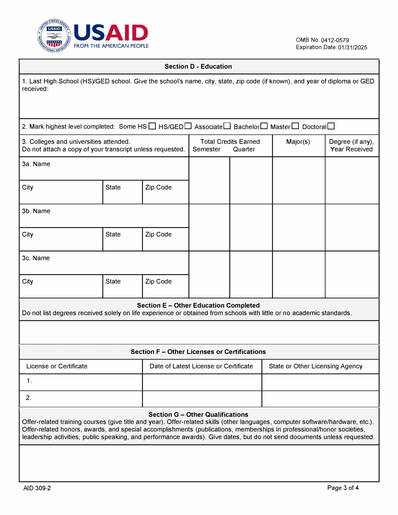

## **Section D - Education**

| 1. Last High School (HS)/GED school. Give the school's name, city, state, zip code (if known), and year of diploma or GED<br>received:                                                                                                                                                                                                                                                                                          |              |                                       |          |                                        |                                 |                                          |  |
|---------------------------------------------------------------------------------------------------------------------------------------------------------------------------------------------------------------------------------------------------------------------------------------------------------------------------------------------------------------------------------------------------------------------------------|--------------|---------------------------------------|----------|----------------------------------------|---------------------------------|------------------------------------------|--|
| 2. Mark highest level completed: Some HS □ HS/GED Associate □ Bachelor □ Master □ Doctoral □                                                                                                                                                                                                                                                                                                                                    |              |                                       |          |                                        |                                 |                                          |  |
| 3. Colleges and universities attended.<br>Do not attach a copy of your transcript unless requested.                                                                                                                                                                                                                                                                                                                             |              |                                       | Semester | <b>Total Credits Earned</b><br>Quarter | Major(s)                        | Degree (if any),<br><b>Year Received</b> |  |
| 3a. Name                                                                                                                                                                                                                                                                                                                                                                                                                        |              |                                       |          |                                        |                                 |                                          |  |
| City                                                                                                                                                                                                                                                                                                                                                                                                                            | <b>State</b> | Zip Code                              |          |                                        |                                 |                                          |  |
| 3b. Name                                                                                                                                                                                                                                                                                                                                                                                                                        |              |                                       |          |                                        |                                 |                                          |  |
| City                                                                                                                                                                                                                                                                                                                                                                                                                            | <b>State</b> | Zip Code                              |          |                                        |                                 |                                          |  |
| 3c. Name                                                                                                                                                                                                                                                                                                                                                                                                                        |              |                                       |          |                                        |                                 |                                          |  |
| City                                                                                                                                                                                                                                                                                                                                                                                                                            | <b>State</b> | Zip Code                              |          |                                        |                                 |                                          |  |
| <b>Section E - Other Education Completed</b><br>Do not list degrees received solely on life experience or obtained from schools with little or no academic standards.                                                                                                                                                                                                                                                           |              |                                       |          |                                        |                                 |                                          |  |
|                                                                                                                                                                                                                                                                                                                                                                                                                                 |              |                                       |          |                                        |                                 |                                          |  |
| Section F - Other Licenses or Certifications                                                                                                                                                                                                                                                                                                                                                                                    |              |                                       |          |                                        |                                 |                                          |  |
| License or Certificate                                                                                                                                                                                                                                                                                                                                                                                                          |              | Date of Latest License or Certificate |          |                                        | State or Other Licensing Agency |                                          |  |
| 1.                                                                                                                                                                                                                                                                                                                                                                                                                              |              |                                       |          |                                        |                                 |                                          |  |
| 2.                                                                                                                                                                                                                                                                                                                                                                                                                              |              |                                       |          |                                        |                                 |                                          |  |
| <b>Section G - Other Qualifications</b><br>Offer-related training courses (give title and year). Offer-related skills (other languages, computer software/hardware, etc.).<br>Offer-related honors, awards, and special accomplishments (publications, memberships in professional/honor societies,<br>leadership activities, public speaking, and performance awards). Give dates, but do not send documents unless requested. |              |                                       |          |                                        |                                 |                                          |  |
|                                                                                                                                                                                                                                                                                                                                                                                                                                 |              |                                       |          |                                        |                                 |                                          |  |